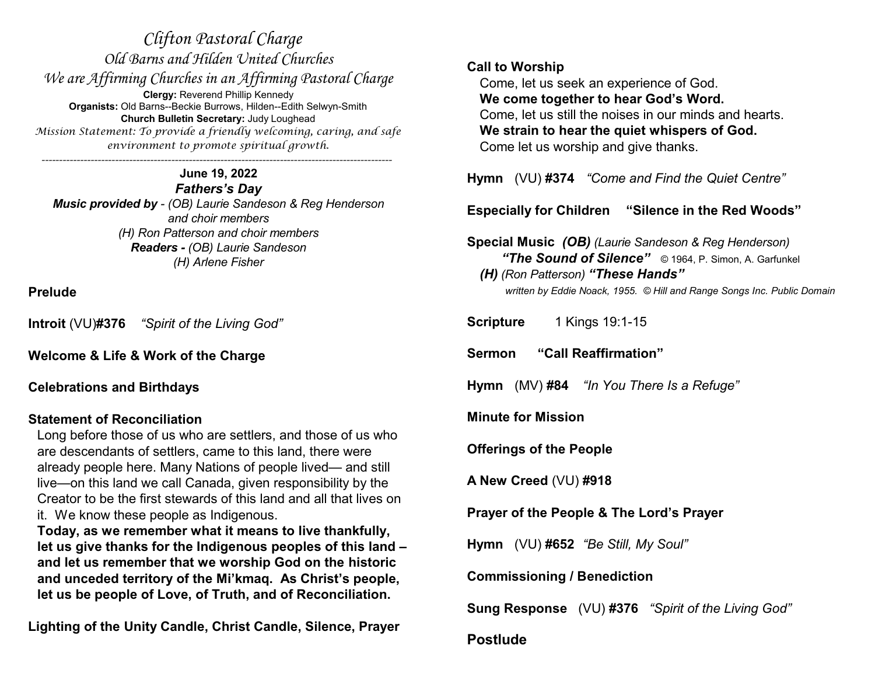*Clifton Pastoral Charge Old Barns and Hilden United Churches We are Affirming Churches in an Affirming Pastoral Charge* **Clergy:** Reverend Phillip Kennedy **Organists:** Old Barns--Beckie Burrows, Hilden--Edith Selwyn-Smith **Church Bulletin Secretary:** Judy Loughead *Mission Statement: To provide a friendly welcoming, caring, and safe environment to promote spiritual growth. ----------------------------------------------------------------------------------------------------*

**June 19, 2022** *Fathers's Day Music provided by - (OB) Laurie Sandeson & Reg Henderson and choir members (H) Ron Patterson and choir members Readers - (OB) Laurie Sandeson (H) Arlene Fisher*

**Prelude**

**Introit** (VU)**#376** *"Spirit of the Living God"*

**Welcome & Life & Work of the Charge**

**Celebrations and Birthdays**

# **Statement of Reconciliation**

Long before those of us who are settlers, and those of us who are descendants of settlers, came to this land, there were already people here. Many Nations of people lived— and still live—on this land we call Canada, given responsibility by the Creator to be the first stewards of this land and all that lives on it. We know these people as Indigenous.

**Today, as we remember what it means to live thankfully, let us give thanks for the Indigenous peoples of this land – and let us remember that we worship God on the historic and unceded territory of the Mi'kmaq. As Christ's people, let us be people of Love, of Truth, and of Reconciliation.** 

**Lighting of the Unity Candle, Christ Candle, Silence, Prayer**

## **Call to Worship**

Come, let us seek an experience of God. **We come together to hear God's Word.** Come, let us still the noises in our minds and hearts. **We strain to hear the quiet whispers of God.** Come let us worship and give thanks.

**Hymn** (VU) **#374** *"Come and Find the Quiet Centre"*

**Especially for Children "Silence in the Red Woods"**

**Special Music** *(OB) (Laurie Sandeson & Reg Henderson) "The Sound of Silence"* © 1964, P. Simon, A. Garfunkel *(H) (Ron Patterson) "These Hands" written by Eddie Noack, 1955. © Hill and Range Songs Inc. Public Domain*

**Scripture** 1 Kings 19:1-15

**Sermon "Call Reaffirmation"**

**Hymn** (MV) **#84** *"In You There Is a Refuge"*

**Minute for Mission**

**Offerings of the People**

**A New Creed** (VU) **#918**

**Prayer of the People & The Lord's Prayer**

**Hymn** (VU) **#652** *"Be Still, My Soul"*

**Commissioning / Benediction**

**Sung Response** (VU) **#376** *"Spirit of the Living God"*

# **Postlude**